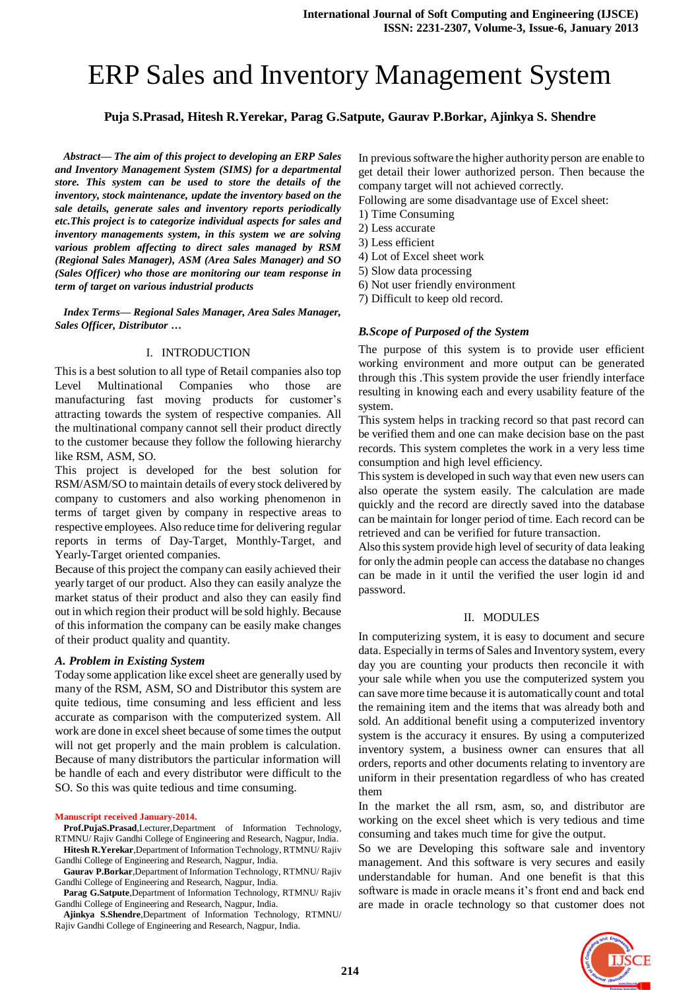# ERP Sales and Inventory Management System

**Puja S.Prasad, Hitesh R.Yerekar, Parag G.Satpute, Gaurav P.Borkar, Ajinkya S. Shendre**

*Abstract— The aim of this project to developing an ERP Sales and Inventory Management System (SIMS) for a departmental store. This system can be used to store the details of the inventory, stock maintenance, update the inventory based on the sale details, generate sales and inventory reports periodically etc.This project is to categorize individual aspects for sales and inventory managements system, in this system we are solving various problem affecting to direct sales managed by RSM (Regional Sales Manager), ASM (Area Sales Manager) and SO (Sales Officer) who those are monitoring our team response in term of target on various industrial products*

*Index Terms— Regional Sales Manager, Area Sales Manager, Sales Officer, Distributor …*

#### I. INTRODUCTION

This is a best solution to all type of Retail companies also top Level Multinational Companies who those are manufacturing fast moving products for customer's attracting towards the system of respective companies. All the multinational company cannot sell their product directly to the customer because they follow the following hierarchy like RSM, ASM, SO.

This project is developed for the best solution for RSM/ASM/SO to maintain details of every stock delivered by company to customers and also working phenomenon in terms of target given by company in respective areas to respective employees. Also reduce time for delivering regular reports in terms of Day-Target, Monthly-Target, and Yearly-Target oriented companies.

Because of this project the company can easily achieved their yearly target of our product. Also they can easily analyze the market status of their product and also they can easily find out in which region their product will be sold highly. Because of this information the company can be easily make changes of their product quality and quantity.

#### *A. Problem in Existing System*

Today some application like excel sheet are generally used by many of the RSM, ASM, SO and Distributor this system are quite tedious, time consuming and less efficient and less accurate as comparison with the computerized system. All work are done in excel sheet because of some times the output will not get properly and the main problem is calculation. Because of many distributors the particular information will be handle of each and every distributor were difficult to the SO. So this was quite tedious and time consuming.

#### **Manuscript received January-2014.**

- **Prof.PujaS.Prasad**,Lecturer,Department of Information Technology, RTMNU/ Rajiv Gandhi College of Engineering and Research, Nagpur, India. **Hitesh R.Yerekar**,Department of Information Technology, RTMNU/ Rajiv
- Gandhi College of Engineering and Research, Nagpur, India.
- **Gaurav P.Borkar**,Department of Information Technology, RTMNU/ Rajiv Gandhi College of Engineering and Research, Nagpur, India.
- **Parag G.Satpute**,Department of Information Technology, RTMNU/ Rajiv Gandhi College of Engineering and Research, Nagpur, India.

**Ajinkya S.Shendre**,Department of Information Technology, RTMNU/ Rajiv Gandhi College of Engineering and Research, Nagpur, India.

In previous software the higher authority person are enable to get detail their lower authorized person. Then because the company target will not achieved correctly.

Following are some disadvantage use of Excel sheet:

- 1) Time Consuming
- 2) Less accurate
- 3) Less efficient
- 4) Lot of Excel sheet work
- 5) Slow data processing
- 6) Not user friendly environment
- 7) Difficult to keep old record.

## *B.Scope of Purposed of the System*

The purpose of this system is to provide user efficient working environment and more output can be generated through this .This system provide the user friendly interface resulting in knowing each and every usability feature of the system.

This system helps in tracking record so that past record can be verified them and one can make decision base on the past records. This system completes the work in a very less time consumption and high level efficiency.

This system is developed in such way that even new users can also operate the system easily. The calculation are made quickly and the record are directly saved into the database can be maintain for longer period of time. Each record can be retrieved and can be verified for future transaction.

Also this system provide high level of security of data leaking for only the admin people can access the database no changes can be made in it until the verified the user login id and password.

## II. MODULES

In computerizing system, it is easy to document and secure data. Especially in terms of Sales and Inventory system, every day you are counting your products then reconcile it with your sale while when you use the computerized system you can save more time because it is automatically count and total the remaining item and the items that was already both and sold. An additional benefit using a computerized inventory system is the accuracy it ensures. By using a computerized inventory system, a business owner can ensures that all orders, reports and other documents relating to inventory are uniform in their presentation regardless of who has created them

In the market the all rsm, asm, so, and distributor are working on the excel sheet which is very tedious and time consuming and takes much time for give the output.

So we are Developing this software sale and inventory management. And this software is very secures and easily understandable for human. And one benefit is that this software is made in oracle means it's front end and back end are made in oracle technology so that customer does not

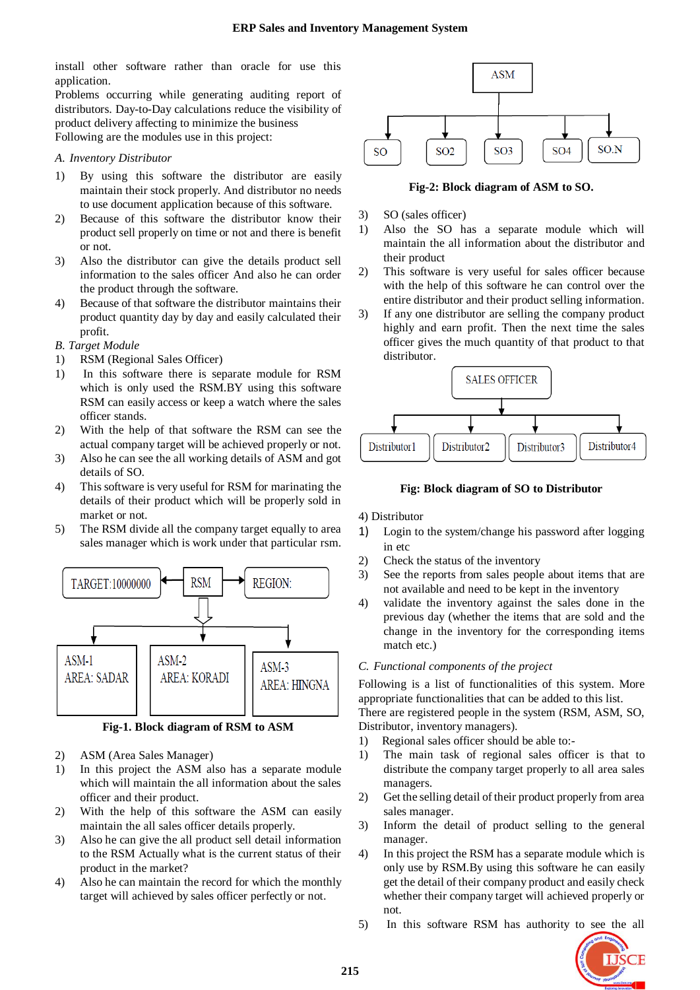install other software rather than oracle for use this application.

Problems occurring while generating auditing report of distributors. Day-to-Day calculations reduce the visibility of product delivery affecting to minimize the business Following are the modules use in this project:

## *A. Inventory Distributor*

- 1) By using this software the distributor are easily maintain their stock properly. And distributor no needs to use document application because of this software.
- 2) Because of this software the distributor know their product sell properly on time or not and there is benefit or not.
- 3) Also the distributor can give the details product sell information to the sales officer And also he can order the product through the software.
- 4) Because of that software the distributor maintains their product quantity day by day and easily calculated their profit.

## *B. Target Module*

- 1) RSM (Regional Sales Officer)
- 1) In this software there is separate module for RSM which is only used the RSM.BY using this software RSM can easily access or keep a watch where the sales officer stands.
- 2) With the help of that software the RSM can see the actual company target will be achieved properly or not.
- 3) Also he can see the all working details of ASM and got details of SO.
- 4) This software is very useful for RSM for marinating the details of their product which will be properly sold in market or not.
- 5) The RSM divide all the company target equally to area sales manager which is work under that particular rsm.



**Fig-1. Block diagram of RSM to ASM**

- 2) ASM (Area Sales Manager)
- 1) In this project the ASM also has a separate module which will maintain the all information about the sales officer and their product.
- 2) With the help of this software the ASM can easily maintain the all sales officer details properly.
- 3) Also he can give the all product sell detail information to the RSM Actually what is the current status of their product in the market?
- 4) Also he can maintain the record for which the monthly target will achieved by sales officer perfectly or not.



**Fig-2: Block diagram of ASM to SO.**

- 3) SO (sales officer)
- 1) Also the SO has a separate module which will maintain the all information about the distributor and their product
- 2) This software is very useful for sales officer because with the help of this software he can control over the entire distributor and their product selling information.
- 3) If any one distributor are selling the company product highly and earn profit. Then the next time the sales officer gives the much quantity of that product to that distributor.



#### **Fig: Block diagram of SO to Distributor**

4) Distributor

- 1) Login to the system/change his password after logging in etc
- 2) Check the status of the inventory
- 3) See the reports from sales people about items that are not available and need to be kept in the inventory
- 4) validate the inventory against the sales done in the previous day (whether the items that are sold and the change in the inventory for the corresponding items match etc.)

#### *C. Functional components of the project*

Following is a list of functionalities of this system. More appropriate functionalities that can be added to this list.

There are registered people in the system (RSM, ASM, SO, Distributor, inventory managers).

- 1) Regional sales officer should be able to:-
- 1) The main task of regional sales officer is that to distribute the company target properly to all area sales managers.
- 2) Get the selling detail of their product properly from area sales manager.
- 3) Inform the detail of product selling to the general manager.
- 4) In this project the RSM has a separate module which is only use by RSM.By using this software he can easily get the detail of their company product and easily check whether their company target will achieved properly or not.
- 5) In this software RSM has authority to see the all

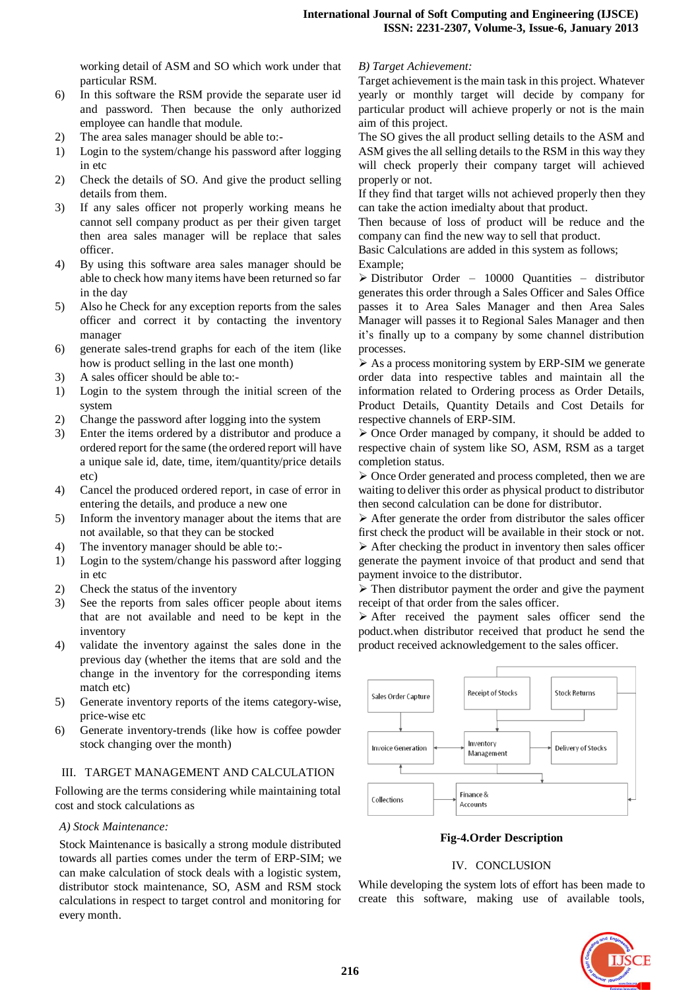working detail of ASM and SO which work under that particular RSM.

- 6) In this software the RSM provide the separate user id and password. Then because the only authorized employee can handle that module.
- 2) The area sales manager should be able to:-
- 1) Login to the system/change his password after logging in etc
- 2) Check the details of SO. And give the product selling details from them.
- 3) If any sales officer not properly working means he cannot sell company product as per their given target then area sales manager will be replace that sales officer.
- 4) By using this software area sales manager should be able to check how many items have been returned so far in the day
- 5) Also he Check for any exception reports from the sales officer and correct it by contacting the inventory manager
- 6) generate sales-trend graphs for each of the item (like how is product selling in the last one month)
- 3) A sales officer should be able to:-
- 1) Login to the system through the initial screen of the system
- 2) Change the password after logging into the system
- 3) Enter the items ordered by a distributor and produce a ordered report for the same (the ordered report will have a unique sale id, date, time, item/quantity/price details etc)
- 4) Cancel the produced ordered report, in case of error in entering the details, and produce a new one
- 5) Inform the inventory manager about the items that are not available, so that they can be stocked
- 4) The inventory manager should be able to:-
- 1) Login to the system/change his password after logging in etc
- 2) Check the status of the inventory
- 3) See the reports from sales officer people about items that are not available and need to be kept in the inventory
- 4) validate the inventory against the sales done in the previous day (whether the items that are sold and the change in the inventory for the corresponding items match etc)
- 5) Generate inventory reports of the items category-wise, price-wise etc
- 6) Generate inventory-trends (like how is coffee powder stock changing over the month)

## III. TARGET MANAGEMENT AND CALCULATION

Following are the terms considering while maintaining total cost and stock calculations as

## *A) Stock Maintenance:*

Stock Maintenance is basically a strong module distributed towards all parties comes under the term of ERP-SIM; we can make calculation of stock deals with a logistic system, distributor stock maintenance, SO, ASM and RSM stock calculations in respect to target control and monitoring for every month.

### *B) Target Achievement:*

Target achievement is the main task in this project. Whatever yearly or monthly target will decide by company for particular product will achieve properly or not is the main aim of this project.

The SO gives the all product selling details to the ASM and ASM gives the all selling details to the RSM in this way they will check properly their company target will achieved properly or not.

If they find that target wills not achieved properly then they can take the action imedialty about that product.

Then because of loss of product will be reduce and the company can find the new way to sell that product.

Basic Calculations are added in this system as follows; Example;

 Distributor Order – 10000 Quantities – distributor generates this order through a Sales Officer and Sales Office passes it to Area Sales Manager and then Area Sales Manager will passes it to Regional Sales Manager and then it's finally up to a company by some channel distribution processes.

 $\triangleright$  As a process monitoring system by ERP-SIM we generate order data into respective tables and maintain all the information related to Ordering process as Order Details, Product Details, Quantity Details and Cost Details for respective channels of ERP-SIM.

 $\triangleright$  Once Order managed by company, it should be added to respective chain of system like SO, ASM, RSM as a target completion status.

 $\triangleright$  Once Order generated and process completed, then we are waiting to deliver this order as physical product to distributor then second calculation can be done for distributor.

 $\triangleright$  After generate the order from distributor the sales officer first check the product will be available in their stock or not.

 $\triangleright$  After checking the product in inventory then sales officer generate the payment invoice of that product and send that payment invoice to the distributor.

 $\triangleright$  Then distributor payment the order and give the payment receipt of that order from the sales officer.

 After received the payment sales officer send the poduct.when distributor received that product he send the product received acknowledgement to the sales officer.



**Fig-4.Order Description**

## IV. CONCLUSION

While developing the system lots of effort has been made to create this software, making use of available tools,